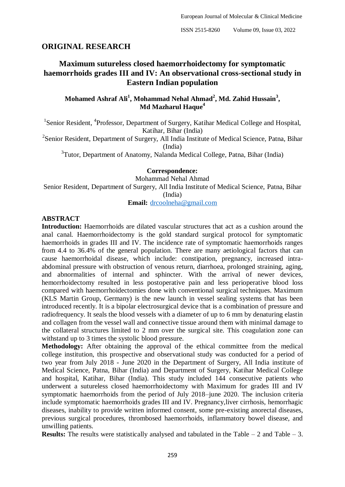# **ORIGINAL RESEARCH**

# **Maximum sutureless closed haemorrhoidectomy for symptomatic haemorrhoids grades III and IV: An observational cross-sectional study in Eastern Indian population**

**Mohamed Ashraf Ali<sup>1</sup> , Mohammad Nehal Ahmad<sup>2</sup> , Md. Zahid Hussain<sup>3</sup> , Md Mazharul Haque<sup>4</sup>**

<sup>1</sup>Senior Resident, <sup>4</sup>Professor, Department of Surgery, Katihar Medical College and Hospital, Katihar, Bihar (India)

<sup>2</sup>Senior Resident, Department of Surgery, All India Institute of Medical Science, Patna, Bihar (India)

<sup>3</sup>Tutor, Department of Anatomy, Nalanda Medical College, Patna, Bihar (India)

**Correspondence:**

Mohammad Nehal Ahmad

Senior Resident, Department of Surgery, All India Institute of Medical Science, Patna, Bihar (India)

**Email:** [drcoolneha@gmail.com](about:blank)

## **ABSTRACT**

**Introduction:** Haemorrhoids are dilated vascular structures that act as a cushion around the anal canal. Haemorrhoidectomy is the gold standard surgical protocol for symptomatic haemorrhoids in grades III and IV. The incidence rate of symptomatic haemorrhoids ranges from 4.4 to 36.4% of the general population. There are many aetiological factors that can cause haemorrhoidal disease, which include: constipation, pregnancy, increased intraabdominal pressure with obstruction of venous return, diarrhoea, prolonged straining, aging, and abnormalities of internal and sphincter. With the arrival of newer devices, hemorrhoidectomy resulted in less postoperative pain and less perioperative blood loss compared with haemorrhoidectomies done with conventional surgical techniques. Maximum (KLS Martin Group, Germany) is the new launch in vessel sealing systems that has been introduced recently. It is a bipolar electrosurgical device that is a combination of pressure and radiofrequency. It seals the blood vessels with a diameter of up to 6 mm by denaturing elastin and collagen from the vessel wall and connective tissue around them with minimal damage to the collateral structures limited to 2 mm over the surgical site. This coagulation zone can withstand up to 3 times the systolic blood pressure.

**Methodology:** After obtaining the approval of the ethical committee from the medical college institution, this prospective and observational study was conducted for a period of two year from July 2018 - June 2020 in the Department of Surgery, All India institute of Medical Science, Patna*,* Bihar (India) and Department of Surgery*,* Katihar Medical College and hospital, Katihar*,* Bihar (India). This study included 144 consecutive patients who underwent a sutureless closed haemorrhoidectomy with Maximum for grades III and IV symptomatic haemorrhoids from the period of July 2018–june 2020. The inclusion criteria include symptomatic haemorrhoids grades III and IV. Pregnancy,liver cirrhosis, hemorrhagic diseases, inability to provide written informed consent, some pre-existing anorectal diseases, previous surgical procedures, thrombosed haemorrhoids, inflammatory bowel disease, and unwilling patients.

**Results:** The results were statistically analysed and tabulated in the Table – 2 and Table – 3.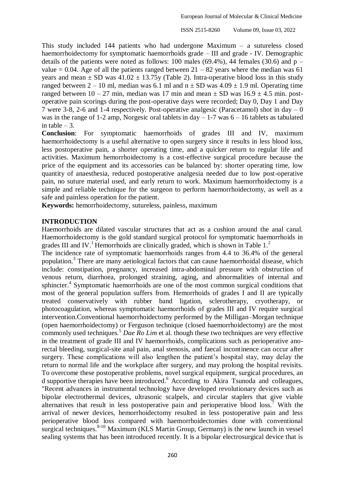This study included 144 patients who had undergone Maximum – a sutureless closed haemorrhoidectomy for symptomatic haemorrhoids grade – III and grade - IV. Demographic details of the patients were noted as follows: 100 males (69.4%), 44 females (30.6) and  $p$ value  $= 0.04$ . Age of all the patients ranged between  $21 - 82$  years where the median was 61 years and mean  $\pm$  SD was 41.02  $\pm$  13.75y (Table 2). Intra-operative blood loss in this study ranged between  $2 - 10$  ml, median was 6.1 ml and  $n \pm SD$  was  $4.09 \pm 1.9$  ml. Operating time ranged between  $10 - 27$  min, median was 17 min and mean  $\pm$  SD was  $16.9 \pm 4.5$  min. postoperative pain scorings during the post-operative days were recorded; Day 0, Day 1 and Day 7 were 3-8, 2-6 and 1-4 respectively. Post-operative analgesic (Paracetamol) shot in day  $-0$ was in the range of 1-2 amp, Norgesic oral tablets in day  $-1$ -7 was  $6 - 16$  tablets as tabulated in table  $-3$ .

**Conclusion**: For symptomatic haemorrhoids of grades III and IV, maximum haemorrhoidectomy is a useful alternative to open surgery since it results in less blood loss, less postoperative pain, a shorter operating time, and a quicker return to regular life and activities. Maximum hemorrhoidectomy is a cost-effective surgical procedure because the price of the equipment and its accessories can be balanced by: shorter operating time, low quantity of anaesthesia, reduced postoperative analgesia needed due to low post-operative pain, no suture material used, and early return to work. Maximum haemorrhoidectomy is a simple and reliable technique for the surgeon to perform haemorrhoidectomy, as well as a safe and painless operation for the patient.

**Keywords:** hemorrhoidectomy, sutureless, painless, maximum

#### **INTRODUCTION**

Haemorrhoids are dilated vascular structures that act as a cushion around the anal canal. Haemorrhoidectomy is the gold standard surgical protocol for symptomatic haemorrhoids in grades III and IV.<sup>1</sup> Hemorrhoids are clinically graded, which is shown in Table  $1<sup>2</sup>$ 

The incidence rate of symptomatic haemorrhoids ranges from 4.4 to 36.4% of the general population.<sup>3</sup> There are many aetiological factors that can cause haemorrhoidal disease, which include: constipation, pregnancy, increased intra-abdominal pressure with obstruction of venous return, diarrhoea, prolonged straining, aging, and abnormalities of internal and sphincter.<sup>4</sup> Symptomatic haemorrhoids are one of the most common surgical conditions that most of the general population suffers from. Hemorrhoids of grades I and II are typically treated conservatively with rubber band ligation, sclerotherapy, cryotherapy, or photocoagulation, whereas symptomatic haemorrhoids of grades III and IV require surgical intervention.Conventional haemorrhoidectomy performed by the Milligan–Morgan technique (open haemorrhoidectomy) or Ferguson technique (closed haemorrhoidectomy) are the most commonly used techniques.<sup>5</sup> *Dae Ro Lim* et al. though these two techniques are very effective in the treatment of grade III and IV haemorrhoids, complications such as perioperative anorectal bleeding, surgical-site anal pain, anal stenosis, and faecal incontinence can occur after surgery. These complications will also lengthen the patient's hospital stay, may delay the return to normal life and the workplace after surgery, and may prolong the hospital revisits. To overcome these postoperative problems, novel surgical equipment, surgical procedures, an d supportive therapies have been introduced.<sup>6</sup> According to Akira Tsunoda and colleagues, "Recent advances in instrumental technology have developed revolutionary devices such as bipolar electrothermal devices, ultrasonic scalpels, and circular staplers that give viable alternatives that result in less postoperative pain and perioperative blood  $loss<sup>7</sup>$  With the arrival of newer devices, hemorrhoidectomy resulted in less postoperative pain and less perioperative blood loss compared with haemorrhoidectomies done with conventional surgical techniques. $8-10$  Maximum (KLS Martin Group, Germany) is the new launch in vessel sealing systems that has been introduced recently. It is a bipolar electrosurgical device that is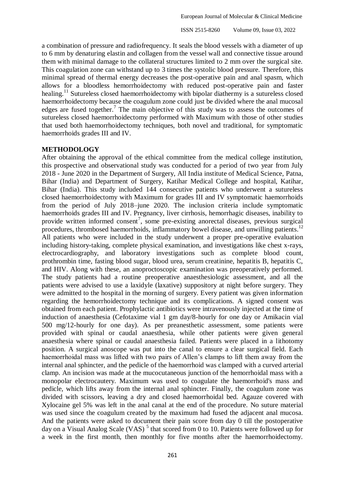a combination of pressure and radiofrequency. It seals the blood vessels with a diameter of up to 6 mm by denaturing elastin and collagen from the vessel wall and connective tissue around them with minimal damage to the collateral structures limited to 2 mm over the surgical site. This coagulation zone can withstand up to 3 times the systolic blood pressure. Therefore, this minimal spread of thermal energy decreases the post-operative pain and anal spasm, which allows for a bloodless hemorrhoidectomy with reduced post-operative pain and faster healing.<sup>11</sup> Sutureless closed haemorrhoidectomy with bipolar diathermy is a sutureless closed haemorrhoidectomy because the coagulum zone could just be divided where the anal mucosal edges are fused together.<sup>7</sup> The main objective of this study was to assess the outcomes of sutureless closed haemorrhoidectomy performed with Maximum with those of other studies that used both haemorrhoidectomy techniques, both novel and traditional, for symptomatic haemorrhoids grades III and IV.

## **METHODOLOGY**

After obtaining the approval of the ethical committee from the medical college institution, this prospective and observational study was conducted for a period of two year from July 2018 - June 2020 in the Department of Surgery, All India institute of Medical Science, Patna, Bihar (India) and Department of Surgery*,* Katihar Medical College and hospital, Katihar*,*  Bihar (India). This study included 144 consecutive patients who underwent a sutureless closed haemorrhoidectomy with Maximum for grades III and IV symptomatic haemorrhoids from the period of July 2018–june 2020. The inclusion criteria include symptomatic haemorrhoids grades III and IV. Pregnancy, liver cirrhosis, hemorrhagic diseases, inability to provide written informed consent<sup>7</sup>, some pre-existing anorectal diseases, previous surgical procedures, thrombosed haemorrhoids, inflammatory bowel disease, and unwilling patients.<sup>12</sup> All patients who were included in the study underwent a proper pre-operative evaluation including history-taking, complete physical examination, and investigations like chest x-rays, electrocardiography, and laboratory investigations such as complete blood count, prothrombin time, fasting blood sugar, blood urea, serum creatinine, hepatitis B, hepatitis C, and HIV. Along with these, an anoproctoscopic examination was preoperatively performed. The study patients had a routine preoperative anaesthesiologic assessment, and all the patients were advised to use a laxidyle (laxative) suppository at night before surgery. They were admitted to the hospital in the morning of surgery. Every patient was given information regarding the hemorrhoidectomy technique and its complications. A signed consent was obtained from each patient. Prophylactic antibiotics were intravenously injected at the time of induction of anaesthesia (Cefotaxime vial 1 gm day/8-hourly for one day or Amikacin vial 500 mg/12-hourly for one day). As per preanesthetic assessment, some patients were provided with spinal or caudal anaesthesia, while other patients were given general anaesthesia where spinal or caudal anaesthesia failed. Patients were placed in a lithotomy position. A surgical anoscope was put into the canal to ensure a clear surgical field. Each haemorrhoidal mass was lifted with two pairs of Allen's clamps to lift them away from the internal anal sphincter, and the pedicle of the haemorrhoid was clamped with a curved arterial clamp. An incision was made at the mucocutaneous junction of the hemorrhoidal mass with a monopolar electrocautery. Maximum was used to coagulate the haemorrhoid's mass and pedicle, which lifts away from the internal anal sphincter. Finally, the coagulum zone was divided with scissors, leaving a dry and closed haemorrhoidal bed. Agauze covered with Xylocaine gel 5% was left in the anal canal at the end of the procedure. No suture material was used since the coagulum created by the maximum had fused the adjacent anal mucosa. And the patients were asked to document their pain score from day 0 till the postoperative day on a Visual Analog Scale (VAS)<sup>5</sup> that scored from 0 to 10. Patients were followed up for a week in the first month, then monthly for five months after the haemorrhoidectomy.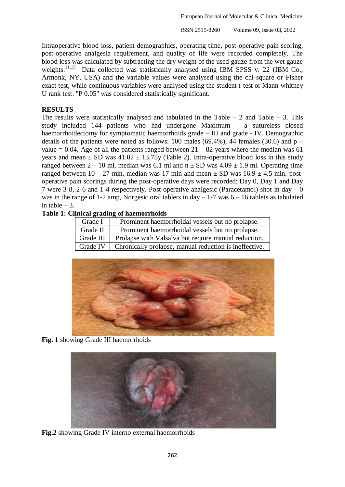Intraoperative blood loss, patient demographics, operating time, post-operative pain scoring, post-operative analgesia requirement, and quality of life were recorded completely. The blood loss was calculated by subtracting the dry weight of the used gauze from the wet gauze weights.<sup>11,13</sup> Data collected was statistically analysed using IBM SPSS v. 22 (IBM Co., Armonk, NY, USA) and the variable values were analysed using the chi-square or Fisher exact test, while continuous variables were analysed using the student t-test or Mann-whitney U rank test. "P 0.05" was considered statistically significant.

# **RESULTS**

The results were statistically analysed and tabulated in the Table – 2 and Table – 3. This study included 144 patients who had undergone Maximum – a sutureless closed haemorrhoidectomy for symptomatic haemorrhoids grade – III and grade - IV. Demographic details of the patients were noted as follows: 100 males (69.4%), 44 females (30.6) and  $p$ value = 0.04. Age of all the patients ranged between  $21 - 82$  years where the median was 61 years and mean  $\pm$  SD was 41.02  $\pm$  13.75y (Table 2). Intra-operative blood loss in this study ranged between  $2 - 10$  ml, median was 6.1 ml and  $n \pm SD$  was  $4.09 \pm 1.9$  ml. Operating time ranged between  $10 - 27$  min, median was 17 min and mean  $\pm$  SD was  $16.9 \pm 4.5$  min. postoperative pain scorings during the post-operative days were recorded; Day 0, Day 1 and Day 7 were 3-8, 2-6 and 1-4 respectively. Post-operative analgesic (Paracetamol) shot in day – 0 was in the range of 1-2 amp, Norgesic oral tablets in day  $-1$ -7 was  $6 - 16$  tablets as tabulated in table  $-3$ .

### **Table 1: Clinical grading of haemorrhoids**

| Grade I   | Prominent haemorrhoidal vessels but no prolapse.       |
|-----------|--------------------------------------------------------|
| Grade II  | Prominent haemorrhoidal vessels but no prolapse.       |
| Grade III | Prolapse with Valsalva but require manual reduction.   |
| Grade IV  | Chronically prolapse, manual reduction is ineffective. |



**Fig. 1** showing Grade III haemorrhoids



**Fig.2** showing Grade IV interno external haemorrhoids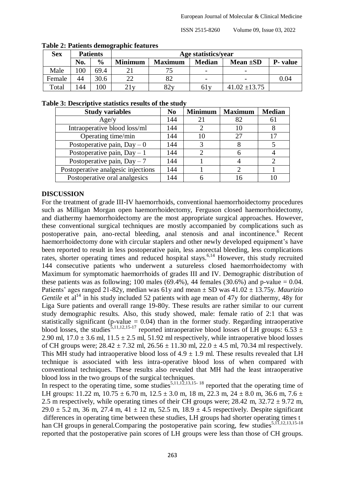| Tuble 21 I unches achiectupine ieutates |     |                 |                     |                |               |                          |          |  |  |
|-----------------------------------------|-----|-----------------|---------------------|----------------|---------------|--------------------------|----------|--|--|
| <b>Sex</b>                              |     | <b>Patients</b> | Age statistics/year |                |               |                          |          |  |  |
|                                         | No. | $\frac{0}{0}$   | <b>Minimum</b>      | <b>Maximum</b> | <b>Median</b> | Mean $\pm SD$            | P- value |  |  |
| Male                                    | 100 | 69.4            |                     | 75             |               | $\overline{\phantom{0}}$ |          |  |  |
| Female                                  | 44  | 30.6            |                     | 82             |               |                          | 0.04     |  |  |
| Total                                   | 144 | 100             | 21y                 | 82y            | 61y           | $41.02 \pm 13.75$        |          |  |  |

#### **Table 2: Patients demographic features**

#### **Table 3: Descriptive statistics results of the study**

| <b>Study variables</b>             | N <sub>0</sub> | <b>Minimum</b> | <b>Maximum</b> | <b>Median</b> |
|------------------------------------|----------------|----------------|----------------|---------------|
| Age/y                              | 144            | 21             | 82             | 61            |
| Intraoperative blood loss/ml       | 144            |                | 10             |               |
| Operating time/min                 | 144            | 10             | 27             |               |
| Postoperative pain, $Day - 0$      | 144            |                |                |               |
| Postoperative pain, $Day - 1$      | 144            |                |                |               |
| Postoperative pain, $Day - 7$      | 144            |                |                |               |
| Postoperative analgesic injections | 144            |                |                |               |
| Postoperative oral analgesics      | 144            |                |                |               |

#### **DISCUSSION**

For the treatment of grade III-IV haemorrhoids, conventional haemorrhoidectomy procedures such as Milligan Morgan open haemorrhoidectomy, Ferguson closed haemorrhoidectomy, and diathermy haemorrhoidectomy are the most appropriate surgical approaches. However, these conventional surgical techniques are mostly accompanied by complications such as postoperative pain, ano-rectal bleeding, anal stenosis and anal incontinence. <sup>6</sup> Recent haemorrhoidectomy done with circular staplers and other newly developed equipment's have been reported to result in less postoperative pain, less anorectal bleeding, less complications rates, shorter operating times and reduced hospital stays.<sup>6,14</sup> However, this study recruited 144 consecutive patients who underwent a sutureless closed haemorrhoidectomy with Maximum for symptomatic haemorrhoids of grades III and IV. Demographic distribution of these patients was as following; 100 males (69.4%), 44 females (30.6%) and p-value  $= 0.04$ . Patients' ages ranged 21-82y, median was 61y and mean ± SD was 41.02 ± 13.75y. *Maurizio Gentile* et al<sup>14</sup> in his study included 52 patients with age mean of 47y for diathermy, 48y for Liga Sure patients and overall range 19-80y. These results are rather similar to our current study demographic results. Also, this study showed, male: female ratio of 2:1 that was statistically significant (p-value  $= 0.04$ ) than in the former study. Regarding intraoperative blood losses, the studies<sup>5,11,12,15-17</sup> reported intraoperative blood losses of LH groups: 6.53  $\pm$ 2.90 ml,  $17.0 \pm 3.6$  ml,  $11.5 \pm 2.5$  ml,  $51.92$  ml respectively, while intraoperative blood losses of CH groups were;  $28.42 \pm 7.32$  ml,  $26.56 \pm 11.30$  ml,  $22.0 \pm 4.5$  ml, 70.34 ml respectively. This MH study had intraoperative blood loss of  $4.9 \pm 1.9$  ml. These results revealed that LH technique is associated with less intra-operative blood loss of when compared with conventional techniques. These results also revealed that MH had the least intraoperative blood loss in the two groups of the surgical techniques.

In respect to the operating time, some studies<sup>5,11,12,13,15-18</sup> reported that the operating time of LH groups: 11.22 m,  $10.75 \pm 6.70$  m,  $12.5 \pm 3.0$  m,  $18$  m,  $22.3$  m,  $24 \pm 8.0$  m,  $36.6$  m,  $7.6 \pm 1.5$ 2.5 m respectively, while operating times of their CH groups were;  $28.42$  m,  $32.72 \pm 9.72$  m,  $29.0 \pm 5.2$  m, 36 m, 27.4 m, 41  $\pm$  12 m, 52.5 m, 18.9  $\pm$  4.5 respectively. Despite significant differences in operating time between these studies, LH groups had shorter operating times t han CH groups in general.Comparing the postoperative pain scoring, few studies<sup>5,11,12,13,15-18</sup> reported that the postoperative pain scores of LH groups were less than those of CH groups.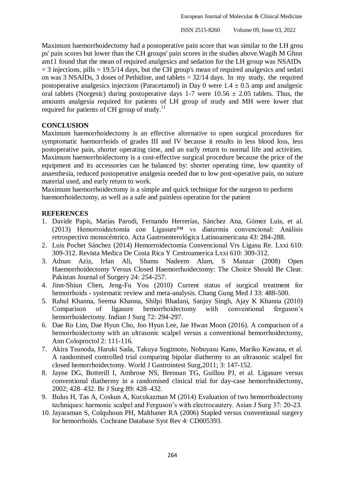Maximum haemorrhoidectomy had a postoperative pain score that was similar to the LH grou ps' pain scores but lower than the CH groups' pain scores in the studies above.Wagih M Ghnn am11 found that the mean of required analgesics and sedation for the LH group was NSAIDs  $=$  3 injections, pills  $=$  19.5/14 days, but the CH group's mean of required analgesics and sedati on was 3 NSAIDs, 3 doses of Pethidine, and tablets = 32/14 days. In my study, the required postoperative analgesics injections (Paracetamol) in Day 0 were  $1.4 \pm 0.5$  amp and analgesic oral tablets (Norgesic) during postoperative days 1-7 were  $10.56 \pm 2.05$  tablets. Thus, the amounts analgesia required for patients of LH group of study and MH were lower that required for patients of CH group of study.<sup>11</sup>

# **CONCLUSION**

Maximum haemorrhoidectomy is an effective alternative to open surgical procedures for symptomatic haemorrhoids of grades III and IV because it results in less blood loss, less postoperative pain, shorter operating time, and an early return to normal life and activities. Maximum haemorrhoidectomy is a cost-effective surgical procedure because the price of the equipment and its accessories can be balanced by: shorter operating time, low quantity of anaesthesia, reduced postoperative analgesia needed due to low post-operative pain, no suture material used, and early return to work.

Maximum haemorrhoidectomy is a simple and quick technique for the surgeon to perform haemorrhoidectomy, as well as a safe and painless operation for the patient

# **REFERENCES**

- 1. Davide Papis, Matías Parodi, Fernando Herrerías, Sánchez Ana, Gómez Luis, et al. (2013) Hemorroidectomía con Ligasure™ vs diatermia convencional: Análisis retrospectivo monocéntrico. Acta Gastroenterológica Latinoamericana 43: 284-288.
- 2. Luis Pochet Sánchez (2014) Hemorroidectomia Convencional Vrs Ligasu Re. Lxxi 610: 309-312. Revista Medica De Costa Rica Y Centroamerica Lxxi 610: 309-312.
- 3. Adnan Aziz, Irfan Ali, Shams Nadeem Alam, S Manzar (2008) Open Haemorrhoidectomy Versus Closed Haemorrhoidectomy: The Choice Should Be Clear. Pakistan Journal of Surgery 24: 254-257.
- 4. Jinn-Shiun Chen, Jeng-Fu You (2010) Current status of surgical treatment for hemorrhoids - systematic review and meta-analysis. Chang Gung Med J 33: 488-500.
- 5. Rahul Khanna, Seema Khanna, Shilpi Bhadani, Sanjay Singh, Ajay K Khanna (2010) Comparison of ligasure hemorrhoidectomy with conventional ferguson's hemorrhoidectomy. Indian J Surg 72: 294-297.
- 6. Dae Ro Lim, Dae Hyun Cho, Joo Hyun Lee, Jae Hwan Moon (2016). A comparison of a hemorrhoidectomy with an ultrasonic scalpel versus a conventional hemorrhoidectomy, Ann Coloproctol 2: 111-116.
- 7. Akira Tsunoda, Haruki Sada, Takuya Sugimoto, Nobuyasu Kano, Mariko Kawana, et al. A randomised controlled trial comparing bipolar diathermy to an ultrasonic scalpel for closed hemorrhoidectomy. World J Gastrointest Surg,2011; 3: 147-152.
- 8. Jayne DG, Botterill I, Ambrose NS, Brennan TG, Guillou PJ, et al. Ligasure versus conventional diathermy in a randomised clinical trial for day-case hemorrhoidectomy, 2002; 428–432. Br J Surg 89: 428–432.
- 9. Bulus H, Tas A, Coskun A, Kucukazman M (2014) Evaluation of two hemorrhoidectomy techniques: harmonic scalpel and Ferguson's with electrocautery. Asian J Surg 37: 20-23.
- 10. Jayaraman S, Colquhoun PH, Malthaner RA (2006) Stapled versus conventional surgery for hemorrhoids. Cochrane Database Syst Rev 4: CD005393.